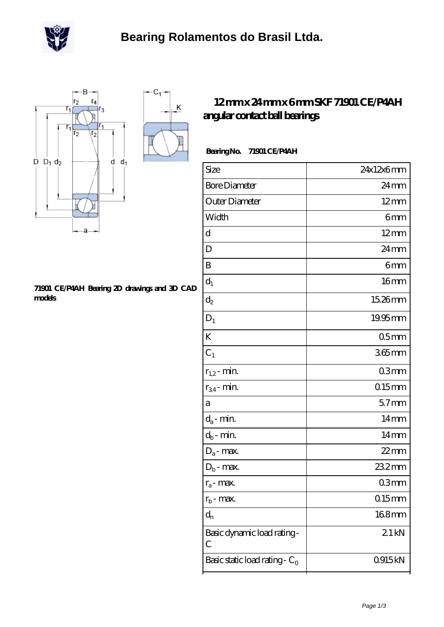

 $\overline{\mathsf{K}}$ 



#### **[71901 CE/P4AH Bearing 2D drawings and 3D CAD](https://m.scottrobertalexander.com/pic-539739.html) [models](https://m.scottrobertalexander.com/pic-539739.html)**

### **[12 mm x 24 mm x 6 mm SKF 71901 CE/P4AH](https://m.scottrobertalexander.com/skf-71901-ce-p4ah-bearing/) [angular contact ball bearings](https://m.scottrobertalexander.com/skf-71901-ce-p4ah-bearing/)**

### **Bearing No. 71901 CE/P4AH**

| Size                             | 24x12x6mm        |
|----------------------------------|------------------|
| <b>Bore Diameter</b>             | $24 \text{mm}$   |
| Outer Diameter                   | $12 \text{mm}$   |
| Width                            | 6mm              |
| d                                | $12 \text{mm}$   |
| D                                | $24 \text{mm}$   |
| B                                | 6mm              |
| $d_1$                            | 16 <sub>mm</sub> |
| $\mathrm{d}_2$                   | 15.26mm          |
| $\mathbf{D}_1$                   | $19.95$ mm       |
| K                                | 05 <sub>mm</sub> |
| $C_1$                            | $365$ mm         |
| $r_{1,2}$ - min.                 | 03 <sub>mm</sub> |
| $r_{34}$ - min.                  | $015$ mm         |
| a                                | 57 <sub>mm</sub> |
| $d_a$ - min.                     | 14mm             |
| $d_b$ - min.                     | 14 <sub>mm</sub> |
| $D_a$ - max.                     | $22$ mm          |
| $D_b$ - max.                     | 23.2mm           |
| $r_a$ - max.                     | 03mm             |
| $r_{b}$ - max.                   | $015$ mm         |
| $d_n$                            | 168mm            |
| Basic dynamic load rating-<br>С  | 21kN             |
| Basic static load rating - $C_0$ | 0915kN           |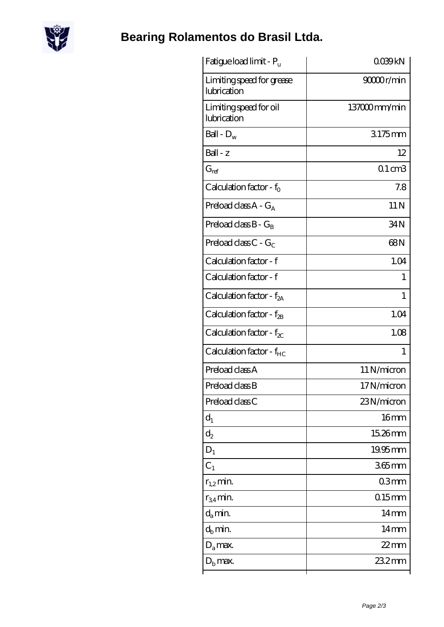

# **[Bearing Rolamentos do Brasil Ltda.](https://m.scottrobertalexander.com)**

| Fatigue load limit - P <sub>u</sub>      | QO39kN            |
|------------------------------------------|-------------------|
| Limiting speed for grease<br>lubrication | 90000r/min        |
| Limiting speed for oil<br>lubrication    | 137000mm/min      |
| Ball - $D_w$                             | 3175mm            |
| Ball - z                                 | 12                |
| $G_{ref}$                                | $01 \text{ cm}$ 3 |
| Calculation factor - $f_0$               | 7.8               |
| Preload class $A - G_A$                  | 11 <sub>N</sub>   |
| Preload class $B - G_B$                  | 34N               |
| Preload class $C$ - $G_C$                | 68N               |
| Calculation factor - f                   | 1.04              |
| Calculation factor - f                   | 1                 |
| Calculation factor - $f_{2A}$            | $\mathbf{1}$      |
| Calculation factor - $f_{2B}$            | 1.04              |
| Calculation factor - $f_{\chi}$          | 1.08              |
| Calculation factor - f <sub>HC</sub>     | 1                 |
| Preload class A                          | 11 N/micron       |
| Preload class B                          | 17N/micron        |
| Preload class C                          | 23N/micron        |
| $d_1$                                    | 16 <sub>mm</sub>  |
| $d_2$                                    | 15.26mm           |
| $D_1$                                    | 19.95mm           |
| $C_1$                                    | $365$ mm          |
| $r_{1,2}$ min.                           | 03 <sub>mm</sub>  |
| $r_{34}$ min.                            | $0.15$ mm         |
| $d_a$ min.                               | $14 \text{mm}$    |
| $d_h$ min.                               | $14 \text{mm}$    |
| $D_a$ max.                               | $22$ mm           |
| $Db$ max.                                | 23.2mm            |
|                                          |                   |